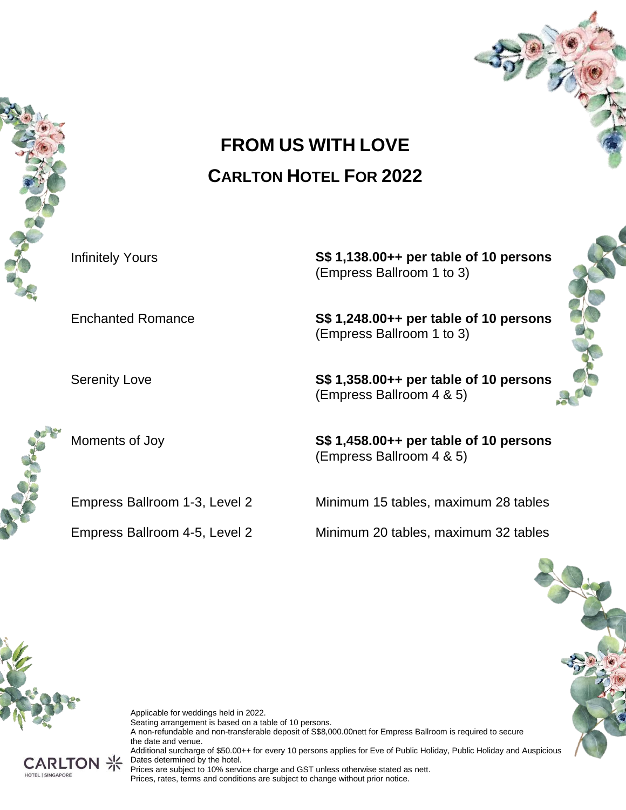



Infinitely Yours **S\$ 1,138.00++ per table of 10 persons** (Empress Ballroom 1 to 3)

Enchanted Romance **S\$ 1,248.00++ per table of 10 persons** (Empress Ballroom 1 to 3)

Serenity Love **S\$ 1,358.00++ per table of 10 persons** (Empress Ballroom 4 & 5)

Moments of Joy **S\$ 1,458.00++ per table of 10 persons** (Empress Ballroom 4 & 5)

Empress Ballroom 1-3, Level 2 Minimum 15 tables, maximum 28 tables

Empress Ballroom 4-5, Level 2 Minimum 20 tables, maximum 32 tables



Applicable for weddings held in 2022. Seating arrangement is based on a table of 10 persons. A non-refundable and non-transferable deposit of S\$8,000.00nett for Empress Ballroom is required to secure the date and venue. Additional surcharge of \$50.00++ for every 10 persons applies for Eve of Public Holiday, Public Holiday and Auspicious Dates determined by the hotel. Prices are subject to 10% service charge and GST unless otherwise stated as nett. Prices, rates, terms and conditions are subject to change without prior notice.

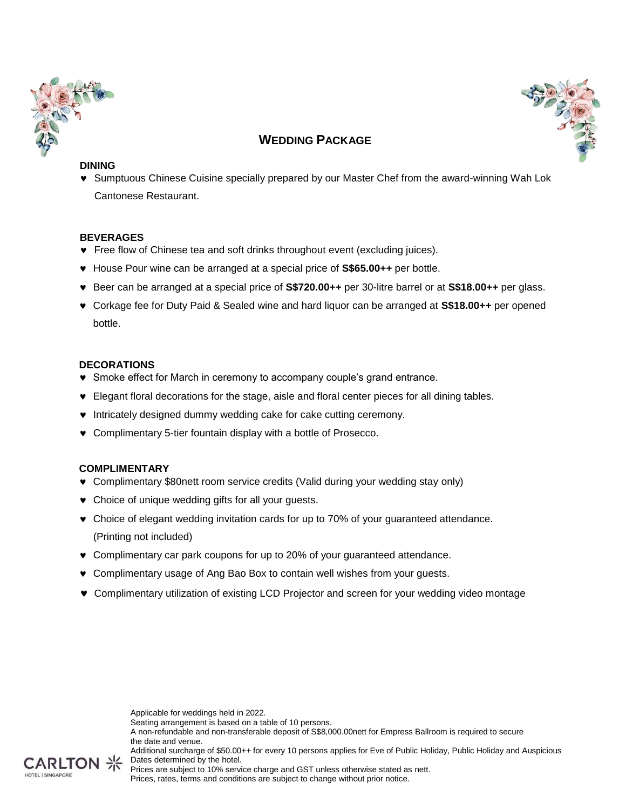



# **WEDDING PACKAGE**

#### **DINING**

 Sumptuous Chinese Cuisine specially prepared by our Master Chef from the award-winning Wah Lok Cantonese Restaurant.

## **BEVERAGES**

- Free flow of Chinese tea and soft drinks throughout event (excluding juices).
- House Pour wine can be arranged at a special price of **S\$65.00++** per bottle.
- Beer can be arranged at a special price of **S\$720.00++** per 30-litre barrel or at **S\$18.00++** per glass.
- Corkage fee for Duty Paid & Sealed wine and hard liquor can be arranged at **S\$18.00++** per opened bottle.

#### **DECORATIONS**

- Smoke effect for March in ceremony to accompany couple's grand entrance.
- Elegant floral decorations for the stage, aisle and floral center pieces for all dining tables.
- $\bullet$  Intricately designed dummy wedding cake for cake cutting ceremony.
- Complimentary 5-tier fountain display with a bottle of Prosecco.

## **COMPLIMENTARY**

- Complimentary \$80nett room service credits (Valid during your wedding stay only)
- Choice of unique wedding gifts for all your guests.
- Choice of elegant wedding invitation cards for up to 70% of your guaranteed attendance. (Printing not included)
- Complimentary car park coupons for up to 20% of your guaranteed attendance.
- Complimentary usage of Ang Bao Box to contain well wishes from your guests.
- Complimentary utilization of existing LCD Projector and screen for your wedding video montage

Applicable for weddings held in 2022. Seating arrangement is based on a table of 10 persons. A non-refundable and non-transferable deposit of S\$8,000.00nett for Empress Ballroom is required to secure the date and venue. Additional surcharge of \$50.00++ for every 10 persons applies for Eve of Public Holiday, Public Holiday and Auspicious



Dates determined by the hotel. Prices are subject to 10% service charge and GST unless otherwise stated as nett.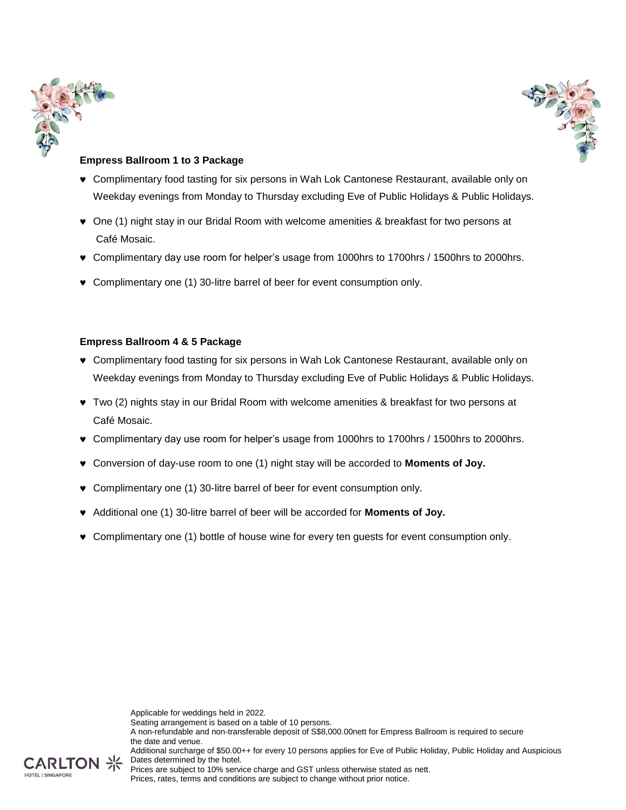



## **Empress Ballroom 1 to 3 Package**

- Complimentary food tasting for six persons in Wah Lok Cantonese Restaurant, available only on Weekday evenings from Monday to Thursday excluding Eve of Public Holidays & Public Holidays.
- One (1) night stay in our Bridal Room with welcome amenities & breakfast for two persons at Café Mosaic.
- Complimentary day use room for helper's usage from 1000hrs to 1700hrs / 1500hrs to 2000hrs.
- Complimentary one (1) 30-litre barrel of beer for event consumption only.

#### **Empress Ballroom 4 & 5 Package**

- Complimentary food tasting for six persons in Wah Lok Cantonese Restaurant, available only on Weekday evenings from Monday to Thursday excluding Eve of Public Holidays & Public Holidays.
- Two (2) nights stay in our Bridal Room with welcome amenities & breakfast for two persons at Café Mosaic.
- Complimentary day use room for helper's usage from 1000hrs to 1700hrs / 1500hrs to 2000hrs.
- Conversion of day-use room to one (1) night stay will be accorded to **Moments of Joy.**
- Complimentary one (1) 30-litre barrel of beer for event consumption only.
- Additional one (1) 30-litre barrel of beer will be accorded for **Moments of Joy.**
- Complimentary one (1) bottle of house wine for every ten guests for event consumption only.

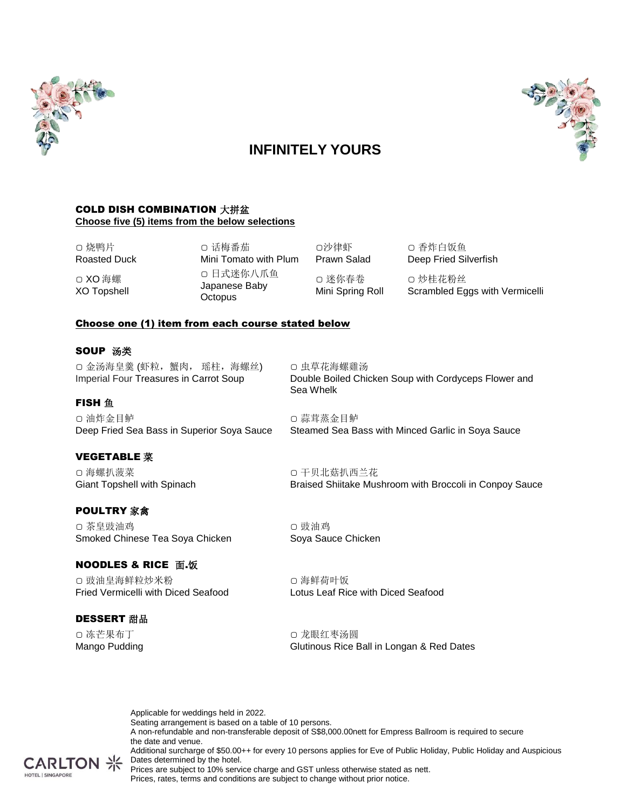

# 

# **INFINITELY YOURS**

#### COLD DISH COMBINATION 大拼盆 **Choose five (5) items from the below selections**

▢ 烧鸭片 Roasted Duck ▢ XO 海螺

XO Topshell

▢ 话梅番茄 Mini Tomato with Plum ▢ 日式迷你八爪鱼 Japanese Baby **Octopus** 

Prawn Salad ▢ 迷你春卷 Mini Spring Roll

▢沙律虾

▢ 香炸白饭鱼 Deep Fried Silverfish ▢ 炒桂花粉丝

Scrambled Eggs with Vermicelli

## Choose one (1) item from each course stated below

#### SOUP 汤类

**FISH** 鱼

▢ 金汤海皇羹 (虾粒,蟹肉, 瑶柱,海螺丝) Imperial Four Treasures in Carrot Soup

▢ 虫草花海螺雞汤 Double Boiled Chicken Soup with Cordyceps Flower and Sea Whelk

▢ 油炸金目鲈 Deep Fried Sea Bass in Superior Soya Sauce

## VEGETABLE 菜

▢ 海螺扒菠菜 Giant Topshell with Spinach

## POULTRY 家禽

▢ 茶皇豉油鸡 Smoked Chinese Tea Soya Chicken

## **NOODLES & RICE 面.饭**

▢ 豉油皇海鲜粒炒米粉 Fried Vermicelli with Diced Seafood

#### DESSERT 甜品

▢ 冻芒果布丁 Mango Pudding ▢ 干贝北菇扒西兰花 Braised Shiitake Mushroom with Broccoli in Conpoy Sauce

Steamed Sea Bass with Minced Garlic in Soya Sauce

▢ 豉油鸡 Soya Sauce Chicken

▢ 蒜茸蒸金目鲈

▢ 海鲜荷叶饭 Lotus Leaf Rice with Diced Seafood

▢ 龙眼红枣汤圆 Glutinous Rice Ball in Longan & Red Dates

Applicable for weddings held in 2022. Seating arrangement is based on a table of 10 persons. A non-refundable and non-transferable deposit of S\$8,000.00nett for Empress Ballroom is required to secure the date and venue. Additional surcharge of \$50.00++ for every 10 persons applies for Eve of Public Holiday, Public Holiday and Auspicious  $CARTON \nless$  Dates determined by the hotel.



Prices are subject to 10% service charge and GST unless otherwise stated as nett. Prices, rates, terms and conditions are subject to change without prior notice.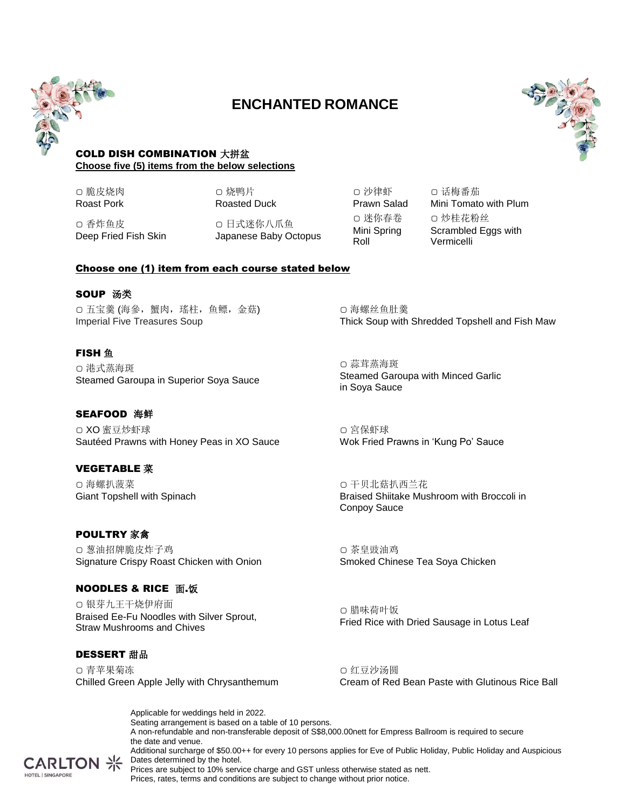

# **ENCHANTED ROMANCE**



#### COLD DISH COMBINATION 大拼盆 **Choose five (5) items from the below selections**

▢ 脆皮烧肉 Roast Pork ▢ 烧鸭片 Roasted Duck

▢ 香炸鱼皮 Deep Fried Fish Skin ▢ 日式迷你八爪鱼 Japanese Baby Octopus

▢ 沙律虾 Prawn Salad ▢ 迷你春卷 Mini Spring Roll

▢ 话梅番茄 Mini Tomato with Plum ▢ 炒桂花粉丝 Scrambled Eggs with Vermicelli

Choose one (1) item from each course stated below

#### **SOUP 汤类**

▢ 五宝羹 (海參,蟹肉,瑤柱,鱼鳔,金菇) Imperial Five Treasures Soup

# **FISH** 鱼

▢ 港式蒸海斑 Steamed Garoupa in Superior Soya Sauce

## SEAFOOD 海鲜

▢ XO 蜜豆炒虾球 Sautéed Prawns with Honey Peas in XO Sauce

# VEGETABLE 菜

▢ 海螺扒菠菜 Giant Topshell with Spinach

## POULTRY 家禽

▢ 葱油招牌脆皮炸子鸡 Signature Crispy Roast Chicken with Onion

## **NOODLES & RICE 面.饭**

▢ 银芽九王干烧伊府面 Braised Ee-Fu Noodles with Silver Sprout, Straw Mushrooms and Chives

## DESSERT 甜品

▢ 青苹果菊冻 Chilled Green Apple Jelly with Chrysanthemum

▢ 海螺丝鱼肚羹 Thick Soup with Shredded Topshell and Fish Maw

▢ 蒜茸蒸海斑 Steamed Garoupa with Minced Garlic in Soya Sauce

▢ 宮保虾球 Wok Fried Prawns in 'Kung Po' Sauce

▢ 干贝北菇扒西兰花 Braised Shiitake Mushroom with Broccoli in Conpoy Sauce

▢ 茶皇豉油鸡 Smoked Chinese Tea Soya Chicken

▢ 腊味荷叶饭 Fried Rice with Dried Sausage in Lotus Leaf

▢ 红豆沙汤圆 Cream of Red Bean Paste with Glutinous Rice Ball

Applicable for weddings held in 2022. Seating arrangement is based on a table of 10 persons. A non-refundable and non-transferable deposit of S\$8,000.00nett for Empress Ballroom is required to secure the date and venue. Additional surcharge of \$50.00++ for every 10 persons applies for Eve of Public Holiday, Public Holiday and Auspicious  $CARTON \nless$  Dates determined by the hotel. Prices are subject to 10% service charge and GST unless otherwise stated as nett.

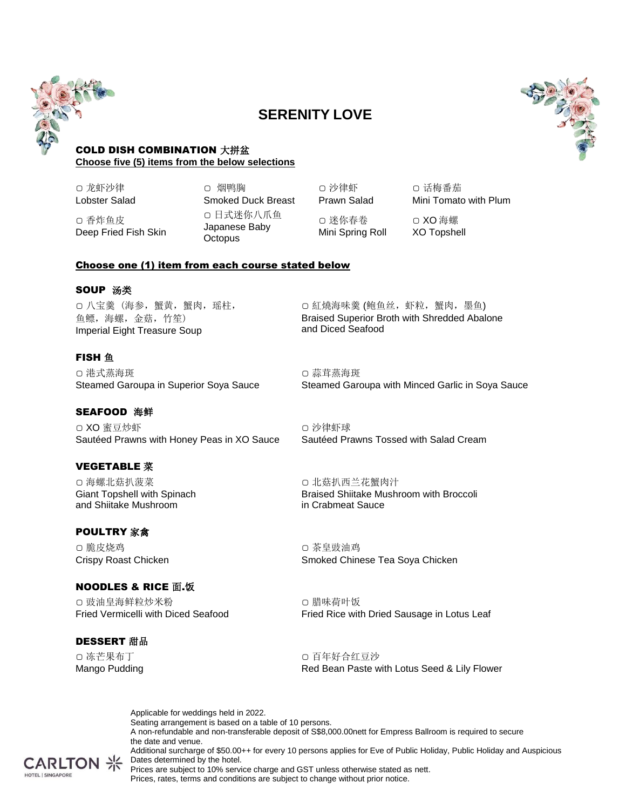

# **SERENITY LOVE**



#### COLD DISH COMBINATION 大拼盆 **Choose five (5) items from the below selections**

▢ 龙虾沙律 Lobster Salad

Deep Fried Fish Skin

▢ 香炸鱼皮

▢ 烟鸭胸 Smoked Duck Breast ▢ 日式迷你八爪鱼 Japanese Baby **Octopus** 

▢ 沙律虾 Prawn Salad

▢ 话梅番茄 Mini Tomato with Plum

▢ 迷你春卷 Mini Spring Roll

▢ XO 海螺 XO Topshell

## Choose one (1) item from each course stated below

#### SOUP 汤类

▢ 八宝羹 (海参,蟹黄,蟹肉,瑶柱, 鱼鳔,海螺,金菇,竹笙) Imperial Eight Treasure Soup

## **FISH** 鱼

▢ 港式蒸海斑 Steamed Garoupa in Superior Soya Sauce

## SEAFOOD 海鲜

▢ XO 蜜豆炒虾 Sautéed Prawns with Honey Peas in XO Sauce

## VEGETABLE 菜

▢ 海螺北菇扒菠菜 Giant Topshell with Spinach and Shiitake Mushroom

## POULTRY 家禽

▢ 脆皮烧鸡 Crispy Roast Chicken

## **NOODLES & RICE 面.饭**

▢ 豉油皇海鲜粒炒米粉 Fried Vermicelli with Diced Seafood

## DESSERT 甜品

▢ 冻芒果布丁 Mango Pudding ▢ 紅燒海味羹 (鲍鱼丝,虾粒,蟹肉,墨鱼) Braised Superior Broth with Shredded Abalone and Diced Seafood

▢ 蒜茸蒸海斑 Steamed Garoupa with Minced Garlic in Soya Sauce

▢ 沙律虾球 Sautéed Prawns Tossed with Salad Cream

▢ 北菇扒西兰花蟹肉汁 Braised Shiitake Mushroom with Broccoli in Crabmeat Sauce

▢ 茶皇豉油鸡 Smoked Chinese Tea Soya Chicken

▢ 腊味荷叶饭 Fried Rice with Dried Sausage in Lotus Leaf

▢ 百年好合红豆沙 Red Bean Paste with Lotus Seed & Lily Flower

Applicable for weddings held in 2022. Seating arrangement is based on a table of 10 persons. A non-refundable and non-transferable deposit of S\$8,000.00nett for Empress Ballroom is required to secure the date and venue. Additional surcharge of \$50.00++ for every 10 persons applies for Eve of Public Holiday, Public Holiday and Auspicious Dates determined by the hotel. Prices are subject to 10% service charge and GST unless otherwise stated as nett.